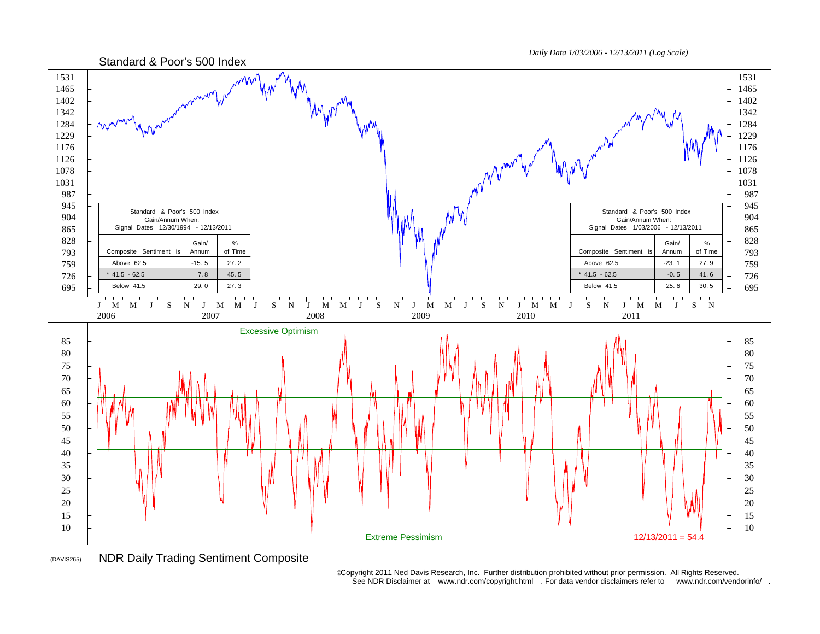

 Copyright 2011 Ned Davis Research, Inc. Further distribution prohibited without prior permission. All Rights Reserved. See NDR Disclaimer at www.ndr.com/copyright.html . For data vendor disclaimers refer to www.ndr.com/vendorinfo/ .